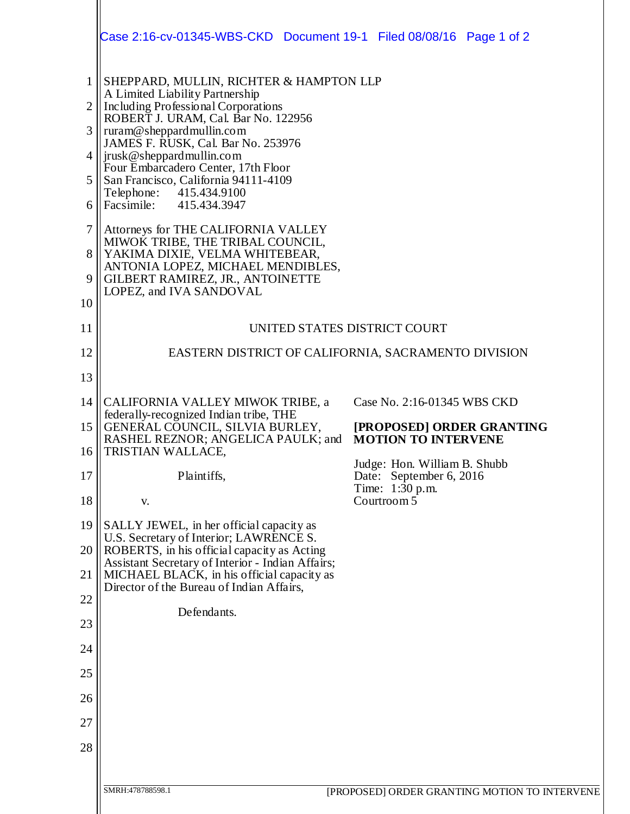|                | Case 2:16-cv-01345-WBS-CKD  Document 19-1  Filed 08/08/16  Page 1 of 2                                                                       |                                                         |  |  |
|----------------|----------------------------------------------------------------------------------------------------------------------------------------------|---------------------------------------------------------|--|--|
| 1              | SHEPPARD, MULLIN, RICHTER & HAMPTON LLP<br>A Limited Liability Partnership<br>Including Professional Corporations                            |                                                         |  |  |
| $\overline{2}$ |                                                                                                                                              |                                                         |  |  |
| 3              | ROBERT J. URAM, Cal. Bar No. 122956<br>ruram@sheppardmullin.com                                                                              |                                                         |  |  |
| 4              | JAMES F. RUSK, Cal. Bar No. 253976<br>jrusk@sheppardmullin.com                                                                               |                                                         |  |  |
| 5              | Four Embarcadero Center, 17th Floor<br>San Francisco, California 94111-4109                                                                  |                                                         |  |  |
| 6              | Telephone:<br>415.434.9100<br>Facsimile: 415.434.3947                                                                                        |                                                         |  |  |
| $\overline{7}$ | Attorneys for THE CALIFORNIA VALLEY<br>MIWOK TRIBE, THE TRIBAL COUNCIL,<br>YAKIMA DIXIE, VELMA WHITEBEAR,                                    |                                                         |  |  |
| 8              |                                                                                                                                              |                                                         |  |  |
| 9              | ANTONIA LOPEZ, MICHAEL MENDIBLES,<br>GILBERT RAMIREZ, JR., ANTOINETTE                                                                        |                                                         |  |  |
| 10             | LOPEZ, and IVA SANDOVAL                                                                                                                      |                                                         |  |  |
| 11             | UNITED STATES DISTRICT COURT                                                                                                                 |                                                         |  |  |
| 12             | EASTERN DISTRICT OF CALIFORNIA, SACRAMENTO DIVISION                                                                                          |                                                         |  |  |
| 13             |                                                                                                                                              |                                                         |  |  |
| 14             | CALIFORNIA VALLEY MIWOK TRIBE, a                                                                                                             | Case No. 2:16-01345 WBS CKD                             |  |  |
| 15             | federally-recognized Indian tribe, THE<br>GENERAL COUNCIL, SILVIA BURLEY,                                                                    | [PROPOSED] ORDER GRANTING                               |  |  |
| 16             | RASHEL REZNOR; ANGELICA PAULK; and<br><b>TRISTIAN WALLACE,</b>                                                                               | <b>MOTION TO INTERVENE</b>                              |  |  |
| 17             | Plaintiffs,                                                                                                                                  | Judge: Hon. William B. Shubb<br>Date: September 6, 2016 |  |  |
| 18             | V.                                                                                                                                           | Time: 1:30 p.m.<br>Courtroom 5                          |  |  |
| 19             | SALLY JEWEL, in her official capacity as                                                                                                     |                                                         |  |  |
| 20             | U.S. Secretary of Interior; LAWRENCE S.<br>ROBERTS, in his official capacity as Acting                                                       |                                                         |  |  |
| 21             | Assistant Secretary of Interior - Indian Affairs;<br>MICHAEL BLACK, in his official capacity as<br>Director of the Bureau of Indian Affairs, |                                                         |  |  |
| 22             |                                                                                                                                              |                                                         |  |  |
| 23             | Defendants.                                                                                                                                  |                                                         |  |  |
| 24             |                                                                                                                                              |                                                         |  |  |
| 25             |                                                                                                                                              |                                                         |  |  |
| 26             |                                                                                                                                              |                                                         |  |  |
| 27             |                                                                                                                                              |                                                         |  |  |
| 28             |                                                                                                                                              |                                                         |  |  |
|                |                                                                                                                                              |                                                         |  |  |
|                | SMRH:478788598.1<br>[PROPOSED] ORDER GRANTING MOTION TO INTERVENE                                                                            |                                                         |  |  |
|                |                                                                                                                                              |                                                         |  |  |